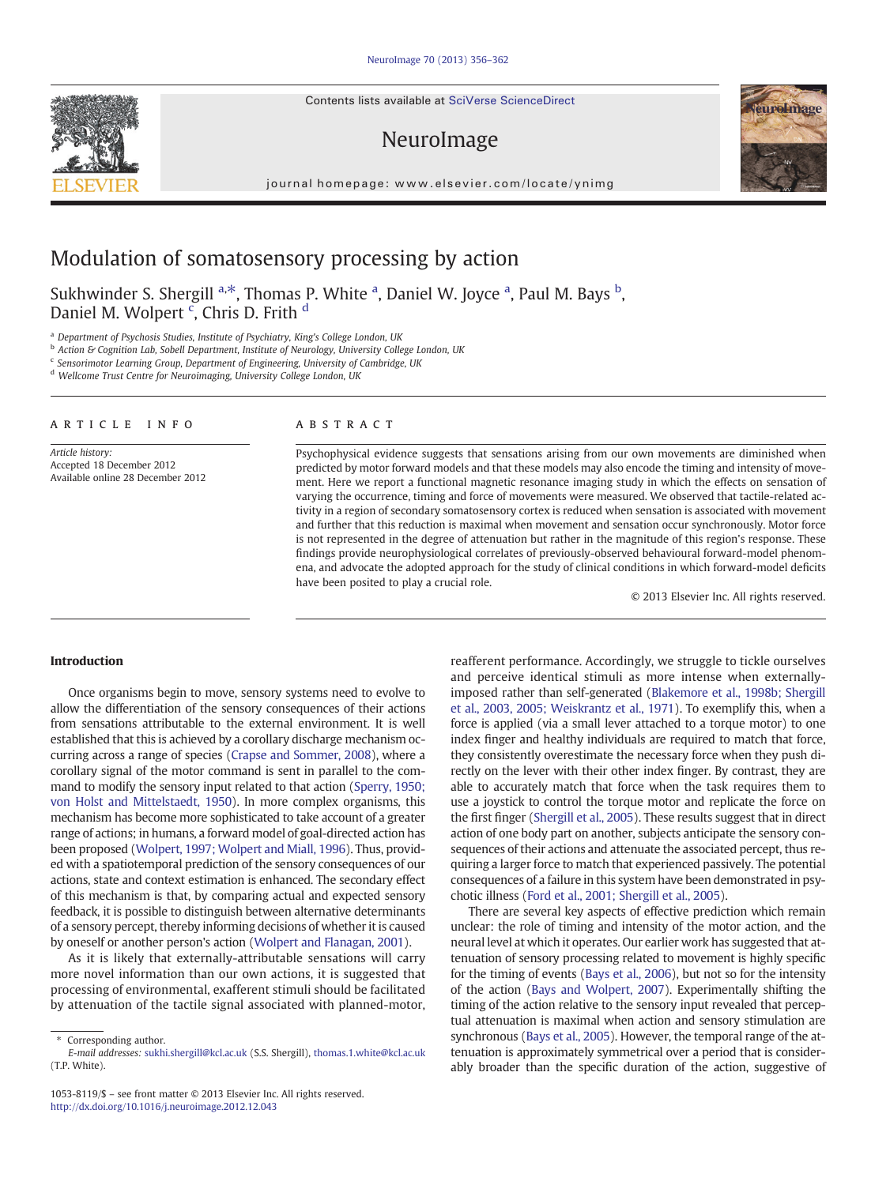Contents lists available at SciVerse ScienceDirect

# NeuroImage

journal homepage: www.elsevier.com/locate/ynimg



Sukhwinder S. Shergill <sup>a,\*</sup>, Thomas P. White <sup>a</sup>, Daniel W. Joyce <sup>a</sup>, Paul M. Bays <sup>b</sup>, Daniel M. Wolpert <sup>c</sup>, Chris D. Frith <sup>d</sup>

<sup>a</sup> Department of Psychosis Studies, Institute of Psychiatry, King's College London, UK

**b** Action & Cognition Lab, Sobell Department, Institute of Neurology, University College London, UK

<sup>c</sup> Sensorimotor Learning Group, Department of Engineering, University of Cambridge, UK

<sup>d</sup> Wellcome Trust Centre for Neuroimaging, University College London, UK

# article info abstract

Article history: Accepted 18 December 2012 Available online 28 December 2012

Psychophysical evidence suggests that sensations arising from our own movements are diminished when predicted by motor forward models and that these models may also encode the timing and intensity of movement. Here we report a functional magnetic resonance imaging study in which the effects on sensation of varying the occurrence, timing and force of movements were measured. We observed that tactile-related activity in a region of secondary somatosensory cortex is reduced when sensation is associated with movement and further that this reduction is maximal when movement and sensation occur synchronously. Motor force is not represented in the degree of attenuation but rather in the magnitude of this region's response. These findings provide neurophysiological correlates of previously-observed behavioural forward-model phenomena, and advocate the adopted approach for the study of clinical conditions in which forward-model deficits have been posited to play a crucial role.

© 2013 Elsevier Inc. All rights reserved.

# Introduction

Once organisms begin to move, sensory systems need to evolve to allow the differentiation of the sensory consequences of their actions from sensations attributable to the external environment. It is well established that this is achieved by a corollary discharge mechanism occurring across a range of species ([Crapse and Sommer, 2008](#page-5-0)), where a corollary signal of the motor command is sent in parallel to the command to modify the sensory input related to that action [\(Sperry, 1950;](#page-6-0) [von Holst and Mittelstaedt, 1950\)](#page-6-0). In more complex organisms, this mechanism has become more sophisticated to take account of a greater range of actions; in humans, a forward model of goal-directed action has been proposed [\(Wolpert, 1997; Wolpert and Miall, 1996](#page-6-0)). Thus, provided with a spatiotemporal prediction of the sensory consequences of our actions, state and context estimation is enhanced. The secondary effect of this mechanism is that, by comparing actual and expected sensory feedback, it is possible to distinguish between alternative determinants of a sensory percept, thereby informing decisions of whether it is caused by oneself or another person's action [\(Wolpert and Flanagan, 2001](#page-6-0)).

As it is likely that externally-attributable sensations will carry more novel information than our own actions, it is suggested that processing of environmental, exafferent stimuli should be facilitated by attenuation of the tactile signal associated with planned-motor,

reafferent performance. Accordingly, we struggle to tickle ourselves and perceive identical stimuli as more intense when externallyimposed rather than self-generated [\(Blakemore et al., 1998b; Shergill](#page-5-0) [et al., 2003, 2005; Weiskrantz et al., 1971](#page-5-0)). To exemplify this, when a force is applied (via a small lever attached to a torque motor) to one index finger and healthy individuals are required to match that force, they consistently overestimate the necessary force when they push directly on the lever with their other index finger. By contrast, they are able to accurately match that force when the task requires them to use a joystick to control the torque motor and replicate the force on the first finger [\(Shergill et al., 2005](#page-5-0)). These results suggest that in direct action of one body part on another, subjects anticipate the sensory consequences of their actions and attenuate the associated percept, thus requiring a larger force to match that experienced passively. The potential consequences of a failure in this system have been demonstrated in psychotic illness [\(Ford et al., 2001; Shergill et al., 2005\)](#page-5-0).

There are several key aspects of effective prediction which remain unclear: the role of timing and intensity of the motor action, and the neural level at which it operates. Our earlier work has suggested that attenuation of sensory processing related to movement is highly specific for the timing of events ([Bays et al., 2006](#page-5-0)), but not so for the intensity of the action ([Bays and Wolpert, 2007\)](#page-5-0). Experimentally shifting the timing of the action relative to the sensory input revealed that perceptual attenuation is maximal when action and sensory stimulation are synchronous [\(Bays et al., 2005](#page-5-0)). However, the temporal range of the attenuation is approximately symmetrical over a period that is considerably broader than the specific duration of the action, suggestive of





Corresponding author. E-mail addresses: [sukhi.shergill@kcl.ac.uk](mailto:sukhi.shergill@kcl.ac.uk) (S.S. Shergill), [thomas.1.white@kcl.ac.uk](mailto:thomas.1.white@kcl.ac.uk) (T.P. White).

<sup>1053-8119/\$</sup> – see front matter © 2013 Elsevier Inc. All rights reserved. <http://dx.doi.org/10.1016/j.neuroimage.2012.12.043>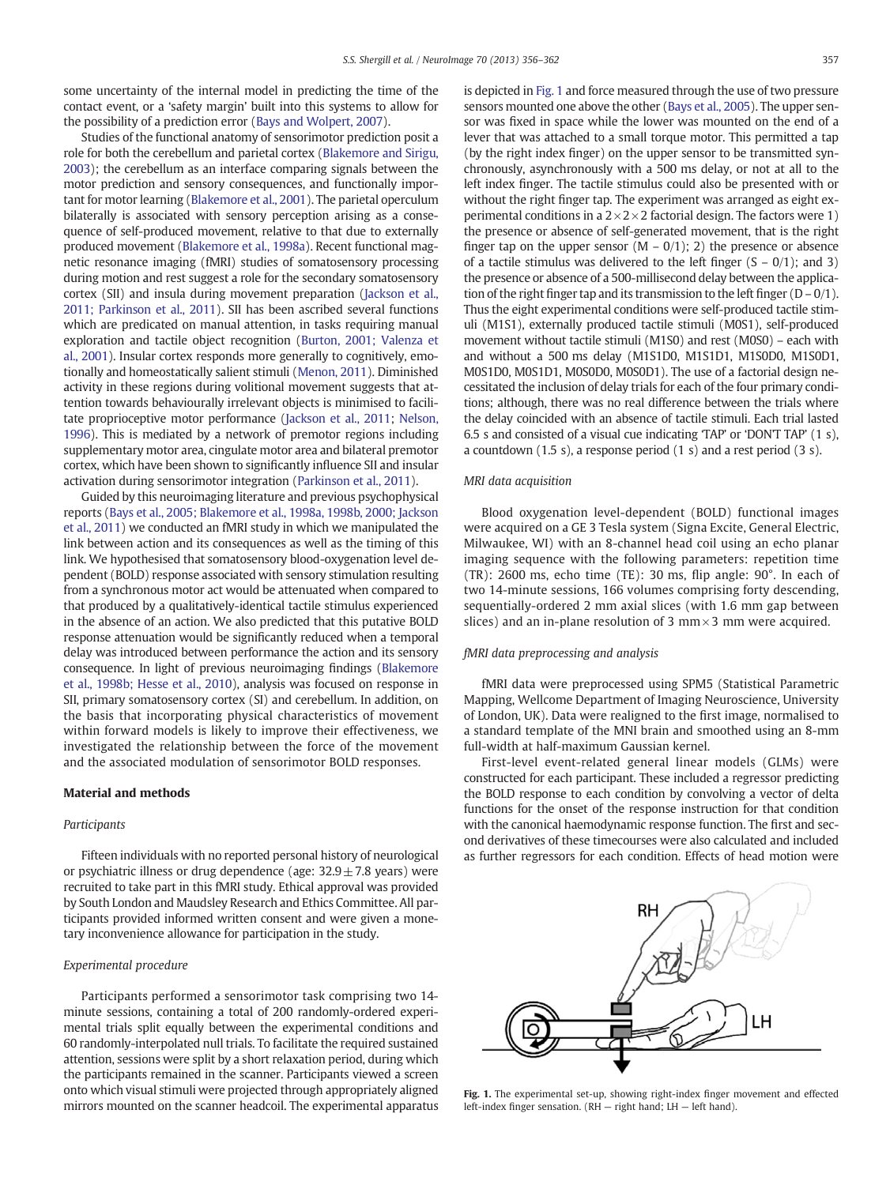<span id="page-1-0"></span>some uncertainty of the internal model in predicting the time of the contact event, or a 'safety margin' built into this systems to allow for the possibility of a prediction error [\(Bays and Wolpert, 2007](#page-5-0)).

Studies of the functional anatomy of sensorimotor prediction posit a role for both the cerebellum and parietal cortex [\(Blakemore and Sirigu,](#page-5-0) [2003](#page-5-0)); the cerebellum as an interface comparing signals between the motor prediction and sensory consequences, and functionally important for motor learning [\(Blakemore et al., 2001](#page-5-0)). The parietal operculum bilaterally is associated with sensory perception arising as a consequence of self-produced movement, relative to that due to externally produced movement [\(Blakemore et al., 1998a](#page-5-0)). Recent functional magnetic resonance imaging (fMRI) studies of somatosensory processing during motion and rest suggest a role for the secondary somatosensory cortex (SII) and insula during movement preparation [\(Jackson et al.,](#page-5-0) [2011; Parkinson et al., 2011\)](#page-5-0). SII has been ascribed several functions which are predicated on manual attention, in tasks requiring manual exploration and tactile object recognition ([Burton, 2001; Valenza et](#page-5-0) [al., 2001](#page-5-0)). Insular cortex responds more generally to cognitively, emotionally and homeostatically salient stimuli [\(Menon, 2011\)](#page-5-0). Diminished activity in these regions during volitional movement suggests that attention towards behaviourally irrelevant objects is minimised to facilitate proprioceptive motor performance [\(Jackson et al., 2011;](#page-5-0) [Nelson,](#page-5-0) [1996](#page-5-0)). This is mediated by a network of premotor regions including supplementary motor area, cingulate motor area and bilateral premotor cortex, which have been shown to significantly influence SII and insular activation during sensorimotor integration [\(Parkinson et al., 2011\)](#page-5-0).

Guided by this neuroimaging literature and previous psychophysical reports [\(Bays et al., 2005; Blakemore et al., 1998a, 1998b, 2000; Jackson](#page-5-0) [et al., 2011\)](#page-5-0) we conducted an fMRI study in which we manipulated the link between action and its consequences as well as the timing of this link. We hypothesised that somatosensory blood-oxygenation level dependent (BOLD) response associated with sensory stimulation resulting from a synchronous motor act would be attenuated when compared to that produced by a qualitatively-identical tactile stimulus experienced in the absence of an action. We also predicted that this putative BOLD response attenuation would be significantly reduced when a temporal delay was introduced between performance the action and its sensory consequence. In light of previous neuroimaging findings ([Blakemore](#page-5-0) [et al., 1998b; Hesse et al., 2010](#page-5-0)), analysis was focused on response in SII, primary somatosensory cortex (SI) and cerebellum. In addition, on the basis that incorporating physical characteristics of movement within forward models is likely to improve their effectiveness, we investigated the relationship between the force of the movement and the associated modulation of sensorimotor BOLD responses.

### Material and methods

# Participants

Fifteen individuals with no reported personal history of neurological or psychiatric illness or drug dependence (age:  $32.9 \pm 7.8$  years) were recruited to take part in this fMRI study. Ethical approval was provided by South London and Maudsley Research and Ethics Committee. All participants provided informed written consent and were given a monetary inconvenience allowance for participation in the study.

#### Experimental procedure

Participants performed a sensorimotor task comprising two 14 minute sessions, containing a total of 200 randomly-ordered experimental trials split equally between the experimental conditions and 60 randomly-interpolated null trials. To facilitate the required sustained attention, sessions were split by a short relaxation period, during which the participants remained in the scanner. Participants viewed a screen onto which visual stimuli were projected through appropriately aligned mirrors mounted on the scanner headcoil. The experimental apparatus is depicted in Fig. 1 and force measured through the use of two pressure sensors mounted one above the other [\(Bays et al., 2005](#page-5-0)). The upper sensor was fixed in space while the lower was mounted on the end of a lever that was attached to a small torque motor. This permitted a tap (by the right index finger) on the upper sensor to be transmitted synchronously, asynchronously with a 500 ms delay, or not at all to the left index finger. The tactile stimulus could also be presented with or without the right finger tap. The experiment was arranged as eight experimental conditions in a  $2 \times 2 \times 2$  factorial design. The factors were 1) the presence or absence of self-generated movement, that is the right finger tap on the upper sensor  $(M - 0/1)$ ; 2) the presence or absence of a tactile stimulus was delivered to the left finger  $(S - 0/1)$ ; and 3) the presence or absence of a 500-millisecond delay between the application of the right finger tap and its transmission to the left finger  $(D - 0/1)$ . Thus the eight experimental conditions were self-produced tactile stimuli (M1S1), externally produced tactile stimuli (M0S1), self-produced movement without tactile stimuli (M1S0) and rest (M0S0) – each with and without a 500 ms delay (M1S1D0, M1S1D1, M1S0D0, M1S0D1, M0S1D0, M0S1D1, M0S0D0, M0S0D1). The use of a factorial design necessitated the inclusion of delay trials for each of the four primary conditions; although, there was no real difference between the trials where the delay coincided with an absence of tactile stimuli. Each trial lasted 6.5 s and consisted of a visual cue indicating 'TAP' or 'DON'T TAP' (1 s), a countdown (1.5 s), a response period (1 s) and a rest period (3 s).

#### MRI data acquisition

Blood oxygenation level-dependent (BOLD) functional images were acquired on a GE 3 Tesla system (Signa Excite, General Electric, Milwaukee, WI) with an 8-channel head coil using an echo planar imaging sequence with the following parameters: repetition time (TR): 2600 ms, echo time (TE): 30 ms, flip angle: 90°. In each of two 14-minute sessions, 166 volumes comprising forty descending, sequentially-ordered 2 mm axial slices (with 1.6 mm gap between slices) and an in-plane resolution of 3 mm $\times$ 3 mm were acquired.

#### fMRI data preprocessing and analysis

fMRI data were preprocessed using SPM5 (Statistical Parametric Mapping, Wellcome Department of Imaging Neuroscience, University of London, UK). Data were realigned to the first image, normalised to a standard template of the MNI brain and smoothed using an 8-mm full-width at half-maximum Gaussian kernel.

First-level event-related general linear models (GLMs) were constructed for each participant. These included a regressor predicting the BOLD response to each condition by convolving a vector of delta functions for the onset of the response instruction for that condition with the canonical haemodynamic response function. The first and second derivatives of these timecourses were also calculated and included as further regressors for each condition. Effects of head motion were



Fig. 1. The experimental set-up, showing right-index finger movement and effected left-index finger sensation. (RH — right hand; LH — left hand).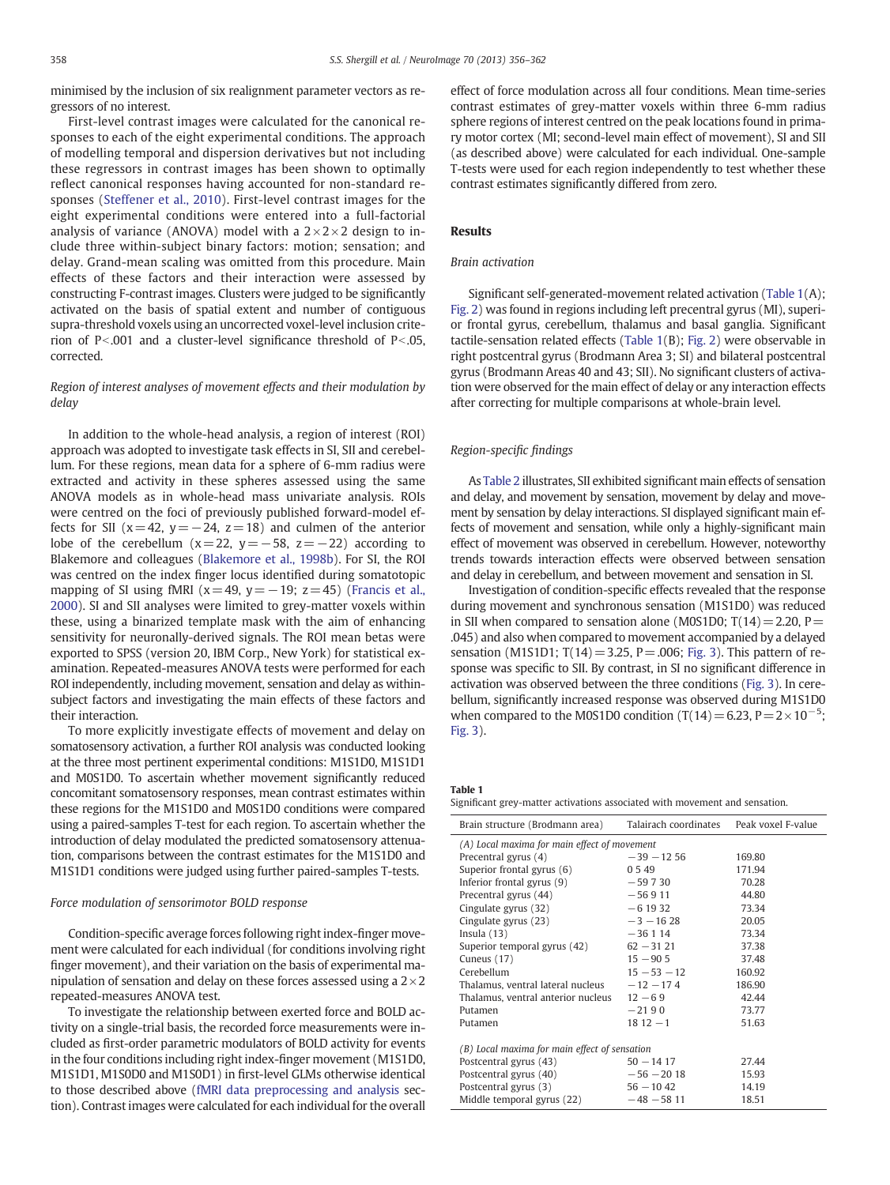minimised by the inclusion of six realignment parameter vectors as regressors of no interest.

First-level contrast images were calculated for the canonical responses to each of the eight experimental conditions. The approach of modelling temporal and dispersion derivatives but not including these regressors in contrast images has been shown to optimally reflect canonical responses having accounted for non-standard responses ([Steffener et al., 2010](#page-6-0)). First-level contrast images for the eight experimental conditions were entered into a full-factorial analysis of variance (ANOVA) model with a  $2 \times 2 \times 2$  design to include three within-subject binary factors: motion; sensation; and delay. Grand-mean scaling was omitted from this procedure. Main effects of these factors and their interaction were assessed by constructing F-contrast images. Clusters were judged to be significantly activated on the basis of spatial extent and number of contiguous supra-threshold voxels using an uncorrected voxel-level inclusion criterion of  $P < 0.001$  and a cluster-level significance threshold of  $P < 0.05$ , corrected.

# Region of interest analyses of movement effects and their modulation by delay

In addition to the whole-head analysis, a region of interest (ROI) approach was adopted to investigate task effects in SI, SII and cerebellum. For these regions, mean data for a sphere of 6-mm radius were extracted and activity in these spheres assessed using the same ANOVA models as in whole-head mass univariate analysis. ROIs were centred on the foci of previously published forward-model effects for SII ( $x=42$ ,  $y=-24$ ,  $z=18$ ) and culmen of the anterior lobe of the cerebellum (x=22, y=−58, z=−22) according to Blakemore and colleagues ([Blakemore et al., 1998b](#page-5-0)). For SI, the ROI was centred on the index finger locus identified during somatotopic mapping of SI using fMRI ( $x=49$ ,  $y=-19$ ;  $z=45$ ) ([Francis et al.,](#page-5-0) [2000\)](#page-5-0). SI and SII analyses were limited to grey-matter voxels within these, using a binarized template mask with the aim of enhancing sensitivity for neuronally-derived signals. The ROI mean betas were exported to SPSS (version 20, IBM Corp., New York) for statistical examination. Repeated-measures ANOVA tests were performed for each ROI independently, including movement, sensation and delay as withinsubject factors and investigating the main effects of these factors and their interaction.

To more explicitly investigate effects of movement and delay on somatosensory activation, a further ROI analysis was conducted looking at the three most pertinent experimental conditions: M1S1D0, M1S1D1 and M0S1D0. To ascertain whether movement significantly reduced concomitant somatosensory responses, mean contrast estimates within these regions for the M1S1D0 and M0S1D0 conditions were compared using a paired-samples T-test for each region. To ascertain whether the introduction of delay modulated the predicted somatosensory attenuation, comparisons between the contrast estimates for the M1S1D0 and M1S1D1 conditions were judged using further paired-samples T-tests.

#### Force modulation of sensorimotor BOLD response

Condition-specific average forces following right index-finger movement were calculated for each individual (for conditions involving right finger movement), and their variation on the basis of experimental manipulation of sensation and delay on these forces assessed using a  $2\times 2$ repeated-measures ANOVA test.

To investigate the relationship between exerted force and BOLD activity on a single-trial basis, the recorded force measurements were included as first-order parametric modulators of BOLD activity for events in the four conditions including right index-finger movement (M1S1D0, M1S1D1, M1S0D0 and M1S0D1) in first-level GLMs otherwise identical to those described above ([fMRI data preprocessing and analysis](#page-1-0) section). Contrast images were calculated for each individual for the overall effect of force modulation across all four conditions. Mean time-series contrast estimates of grey-matter voxels within three 6-mm radius sphere regions of interest centred on the peak locations found in primary motor cortex (MI; second-level main effect of movement), SI and SII (as described above) were calculated for each individual. One-sample T-tests were used for each region independently to test whether these contrast estimates significantly differed from zero.

# Results

# Brain activation

Significant self-generated-movement related activation (Table 1(A); [Fig. 2\)](#page-3-0) was found in regions including left precentral gyrus (MI), superior frontal gyrus, cerebellum, thalamus and basal ganglia. Significant tactile-sensation related effects (Table 1(B); [Fig. 2](#page-3-0)) were observable in right postcentral gyrus (Brodmann Area 3; SI) and bilateral postcentral gyrus (Brodmann Areas 40 and 43; SII). No significant clusters of activation were observed for the main effect of delay or any interaction effects after correcting for multiple comparisons at whole-brain level.

# Region-specific findings

As [Table 2](#page-3-0) illustrates, SII exhibited significant main effects of sensation and delay, and movement by sensation, movement by delay and movement by sensation by delay interactions. SI displayed significant main effects of movement and sensation, while only a highly-significant main effect of movement was observed in cerebellum. However, noteworthy trends towards interaction effects were observed between sensation and delay in cerebellum, and between movement and sensation in SI.

Investigation of condition-specific effects revealed that the response during movement and synchronous sensation (M1S1D0) was reduced in SII when compared to sensation alone (M0S1D0;  $T(14)=2.20$ , P= .045) and also when compared to movement accompanied by a delayed sensation (M1S1D1;  $T(14) = 3.25$ , P = .006; [Fig. 3](#page-4-0)). This pattern of response was specific to SII. By contrast, in SI no significant difference in activation was observed between the three conditions ([Fig. 3](#page-4-0)). In cerebellum, significantly increased response was observed during M1S1D0 when compared to the M0S1D0 condition (T(14) = 6.23, P =  $2 \times 10^{-5}$ ; [Fig. 3](#page-4-0)).

Table 1

| Significant grey-matter activations associated with movement and sensation. |  |  |  |
|-----------------------------------------------------------------------------|--|--|--|
|                                                                             |  |  |  |

| Brain structure (Brodmann area)               | Talairach coordinates Peak voxel F-value |        |  |  |  |  |  |
|-----------------------------------------------|------------------------------------------|--------|--|--|--|--|--|
| (A) Local maxima for main effect of movement  |                                          |        |  |  |  |  |  |
| Precentral gyrus (4)                          | $-39 - 1256$                             | 169.80 |  |  |  |  |  |
| Superior frontal gyrus (6)                    | 0 5 4 9                                  | 171.94 |  |  |  |  |  |
| Inferior frontal gyrus (9)                    | $-59730$                                 | 70.28  |  |  |  |  |  |
| Precentral gyrus (44)                         | $-56911$                                 | 44.80  |  |  |  |  |  |
| Cingulate gyrus (32)                          | $-61932$                                 | 73.34  |  |  |  |  |  |
| Cingulate gyrus (23)                          | $-3 - 1628$                              | 20.05  |  |  |  |  |  |
| Insula $(13)$                                 | $-36114$                                 | 73.34  |  |  |  |  |  |
| Superior temporal gyrus (42)                  | $62 - 3121$                              | 37.38  |  |  |  |  |  |
| Cuneus (17)                                   | $15 - 905$                               | 37.48  |  |  |  |  |  |
| Cerebellum                                    | $15 - 53 - 12$                           | 160.92 |  |  |  |  |  |
| Thalamus, ventral lateral nucleus $-12-174$   |                                          | 186.90 |  |  |  |  |  |
| Thalamus, ventral anterior nucleus            | $12 - 69$                                | 42.44  |  |  |  |  |  |
| Putamen                                       | $-2190$                                  | 73.77  |  |  |  |  |  |
| Putamen                                       | $1812 - 1$                               | 51.63  |  |  |  |  |  |
| (B) Local maxima for main effect of sensation |                                          |        |  |  |  |  |  |
| Postcentral gyrus (43)                        | $50 - 1417$                              | 27.44  |  |  |  |  |  |
| Postcentral gyrus (40)                        | $-56 - 2018$                             | 15.93  |  |  |  |  |  |
| Postcentral gyrus (3)                         | $56 - 1042$                              | 14.19  |  |  |  |  |  |
| Middle temporal gyrus (22)                    | $-48 - 5811$                             | 18.51  |  |  |  |  |  |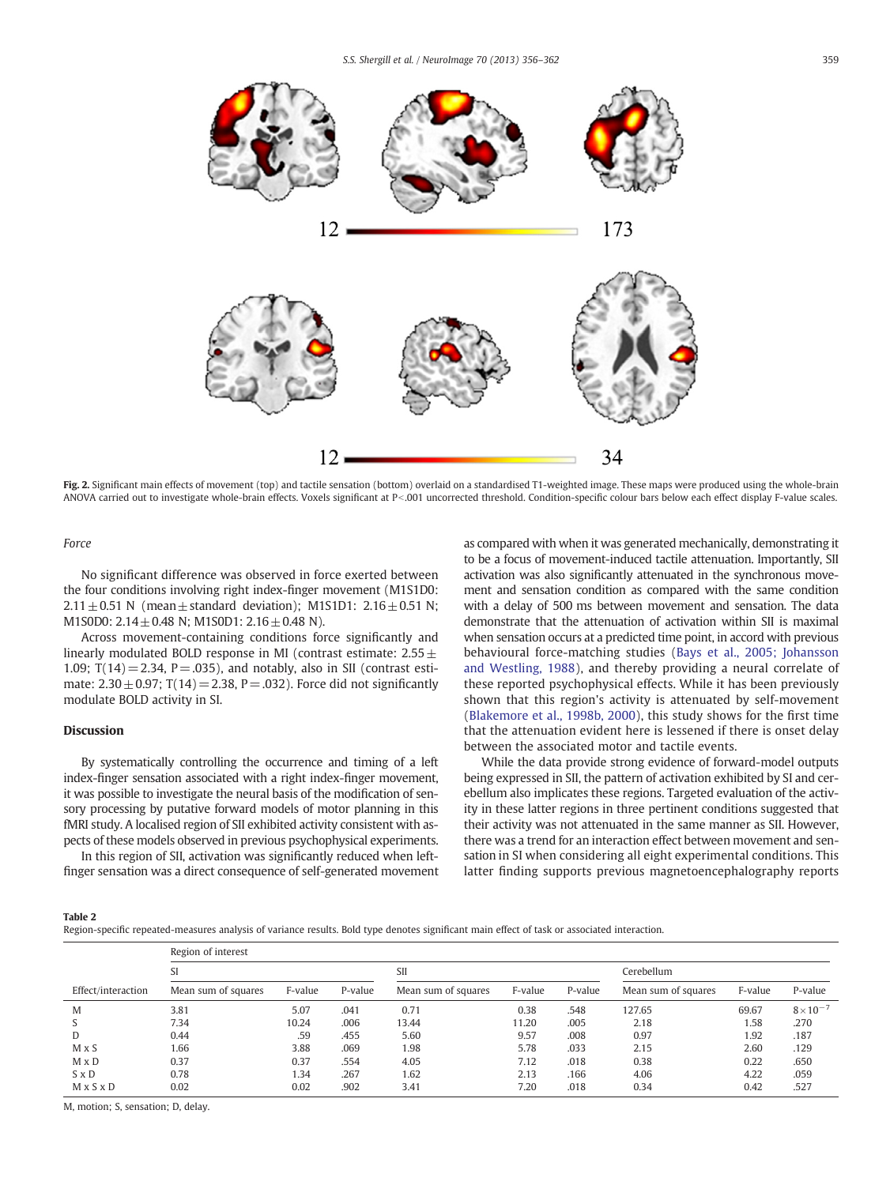<span id="page-3-0"></span>

Fig. 2. Significant main effects of movement (top) and tactile sensation (bottom) overlaid on a standardised T1-weighted image. These maps were produced using the whole-brain ANOVA carried out to investigate whole-brain effects. Voxels significant at P<.001 uncorrected threshold. Condition-specific colour bars below each effect display F-value scales.

## Force

No significant difference was observed in force exerted between the four conditions involving right index-finger movement (M1S1D0: 2.11 $\pm$ 0.51 N (mean $\pm$ standard deviation); M1S1D1: 2.16 $\pm$ 0.51 N; M1S0D0: 2.14 $\pm$ 0.48 N; M1S0D1: 2.16 $\pm$ 0.48 N).

Across movement-containing conditions force significantly and linearly modulated BOLD response in MI (contrast estimate:  $2.55 \pm$ 1.09;  $T(14) = 2.34$ , P = .035), and notably, also in SII (contrast estimate:  $2.30 \pm 0.97$ ; T(14) = 2.38, P = .032). Force did not significantly modulate BOLD activity in SI.

# Discussion

By systematically controlling the occurrence and timing of a left index-finger sensation associated with a right index-finger movement, it was possible to investigate the neural basis of the modification of sensory processing by putative forward models of motor planning in this fMRI study. A localised region of SII exhibited activity consistent with aspects of these models observed in previous psychophysical experiments.

In this region of SII, activation was significantly reduced when leftfinger sensation was a direct consequence of self-generated movement as compared with when it was generated mechanically, demonstrating it to be a focus of movement-induced tactile attenuation. Importantly, SII activation was also significantly attenuated in the synchronous movement and sensation condition as compared with the same condition with a delay of 500 ms between movement and sensation. The data demonstrate that the attenuation of activation within SII is maximal when sensation occurs at a predicted time point, in accord with previous behavioural force-matching studies ([Bays et al., 2005; Johansson](#page-5-0) [and Westling, 1988](#page-5-0)), and thereby providing a neural correlate of these reported psychophysical effects. While it has been previously shown that this region's activity is attenuated by self-movement [\(Blakemore et al., 1998b, 2000\)](#page-5-0), this study shows for the first time that the attenuation evident here is lessened if there is onset delay between the associated motor and tactile events.

While the data provide strong evidence of forward-model outputs being expressed in SII, the pattern of activation exhibited by SI and cerebellum also implicates these regions. Targeted evaluation of the activity in these latter regions in three pertinent conditions suggested that their activity was not attenuated in the same manner as SII. However, there was a trend for an interaction effect between movement and sensation in SI when considering all eight experimental conditions. This latter finding supports previous magnetoencephalography reports

#### Table 2

Region-specific repeated-measures analysis of variance results. Bold type denotes significant main effect of task or associated interaction.

|                       | Region of interest  |         |         |                     |         |         |                     |         |                  |
|-----------------------|---------------------|---------|---------|---------------------|---------|---------|---------------------|---------|------------------|
|                       | SI                  |         |         | SII                 |         |         | Cerebellum          |         |                  |
| Effect/interaction    | Mean sum of squares | F-value | P-value | Mean sum of squares | F-value | P-value | Mean sum of squares | F-value | P-value          |
| M                     | 3.81                | 5.07    | .041    | 0.71                | 0.38    | .548    | 127.65              | 69.67   | $8\times10^{-7}$ |
|                       | 7.34                | 10.24   | .006    | 13.44               | 11.20   | .005    | 2.18                | 1.58    | .270             |
| D                     | 0.44                | .59     | .455    | 5.60                | 9.57    | .008    | 0.97                | 1.92    | .187             |
| M x S                 | 1.66                | 3.88    | .069    | 1.98                | 5.78    | .033    | 2.15                | 2.60    | .129             |
| $M \times D$          | 0.37                | 0.37    | .554    | 4.05                | 7.12    | .018    | 0.38                | 0.22    | .650             |
| $S \times D$          | 0.78                | 1.34    | .267    | 1.62                | 2.13    | .166    | 4.06                | 4.22    | .059             |
| $M \times S \times D$ | 0.02                | 0.02    | .902    | 3.41                | 7.20    | .018    | 0.34                | 0.42    | .527             |

M, motion; S, sensation; D, delay.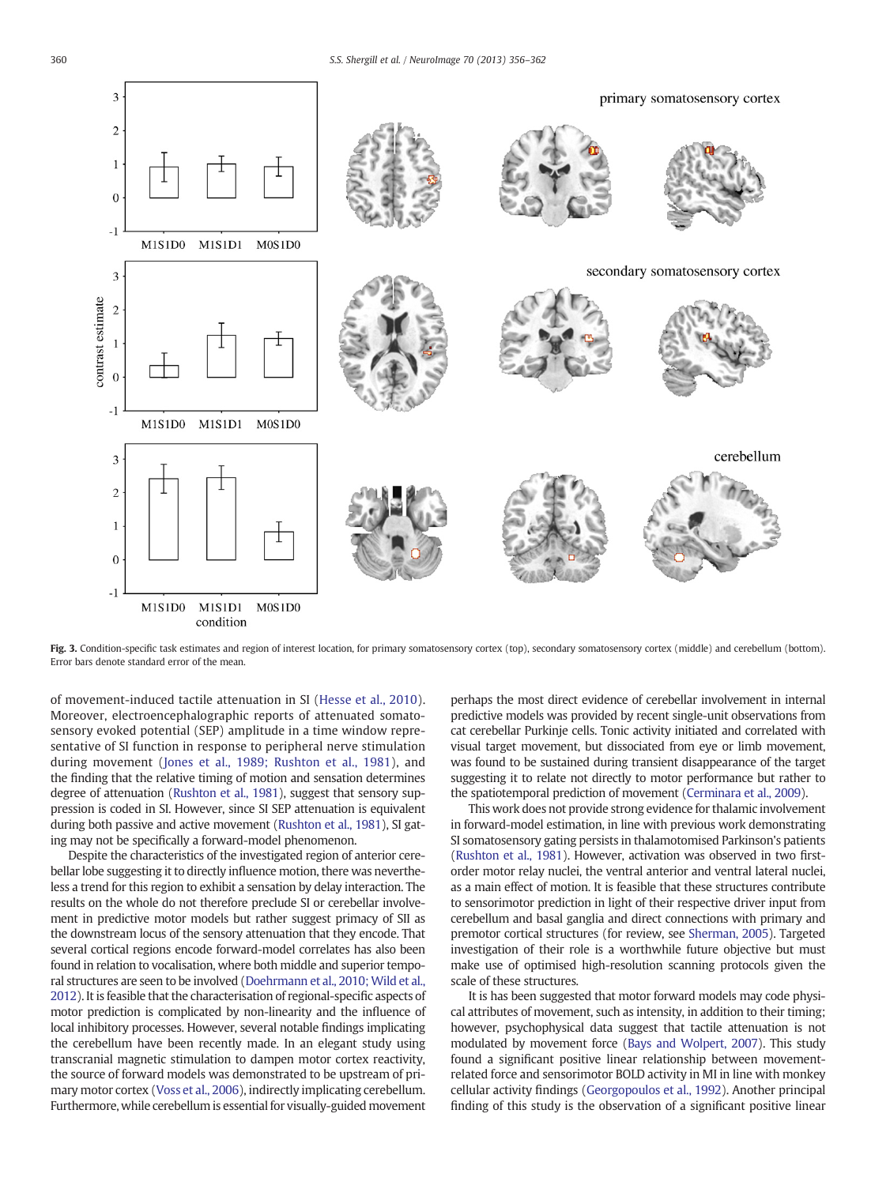<span id="page-4-0"></span>

Fig. 3. Condition-specific task estimates and region of interest location, for primary somatosensory cortex (top), secondary somatosensory cortex (middle) and cerebellum (bottom). Error bars denote standard error of the mean.

of movement-induced tactile attenuation in SI ([Hesse et al., 2010](#page-5-0)). Moreover, electroencephalographic reports of attenuated somatosensory evoked potential (SEP) amplitude in a time window representative of SI function in response to peripheral nerve stimulation during movement ([Jones et al., 1989; Rushton et al., 1981\)](#page-5-0), and the finding that the relative timing of motion and sensation determines degree of attenuation [\(Rushton et al., 1981](#page-5-0)), suggest that sensory suppression is coded in SI. However, since SI SEP attenuation is equivalent during both passive and active movement [\(Rushton et al., 1981](#page-5-0)), SI gating may not be specifically a forward-model phenomenon.

Despite the characteristics of the investigated region of anterior cerebellar lobe suggesting it to directly influence motion, there was nevertheless a trend for this region to exhibit a sensation by delay interaction. The results on the whole do not therefore preclude SI or cerebellar involvement in predictive motor models but rather suggest primacy of SII as the downstream locus of the sensory attenuation that they encode. That several cortical regions encode forward-model correlates has also been found in relation to vocalisation, where both middle and superior temporal structures are seen to be involved [\(Doehrmann et al., 2010; Wild et al.,](#page-5-0) [2012](#page-5-0)). It is feasible that the characterisation of regional-specific aspects of motor prediction is complicated by non-linearity and the influence of local inhibitory processes. However, several notable findings implicating the cerebellum have been recently made. In an elegant study using transcranial magnetic stimulation to dampen motor cortex reactivity, the source of forward models was demonstrated to be upstream of primary motor cortex ([Voss et al., 2006\)](#page-6-0), indirectly implicating cerebellum. Furthermore, while cerebellum is essential for visually-guided movement

perhaps the most direct evidence of cerebellar involvement in internal predictive models was provided by recent single-unit observations from cat cerebellar Purkinje cells. Tonic activity initiated and correlated with visual target movement, but dissociated from eye or limb movement, was found to be sustained during transient disappearance of the target suggesting it to relate not directly to motor performance but rather to the spatiotemporal prediction of movement [\(Cerminara et al., 2009\)](#page-5-0).

This work does not provide strong evidence for thalamic involvement in forward-model estimation, in line with previous work demonstrating SI somatosensory gating persists in thalamotomised Parkinson's patients [\(Rushton et al., 1981](#page-5-0)). However, activation was observed in two firstorder motor relay nuclei, the ventral anterior and ventral lateral nuclei, as a main effect of motion. It is feasible that these structures contribute to sensorimotor prediction in light of their respective driver input from cerebellum and basal ganglia and direct connections with primary and premotor cortical structures (for review, see [Sherman, 2005](#page-5-0)). Targeted investigation of their role is a worthwhile future objective but must make use of optimised high-resolution scanning protocols given the scale of these structures.

It is has been suggested that motor forward models may code physical attributes of movement, such as intensity, in addition to their timing; however, psychophysical data suggest that tactile attenuation is not modulated by movement force [\(Bays and Wolpert, 2007](#page-5-0)). This study found a significant positive linear relationship between movementrelated force and sensorimotor BOLD activity in MI in line with monkey cellular activity findings ([Georgopoulos et al., 1992\)](#page-5-0). Another principal finding of this study is the observation of a significant positive linear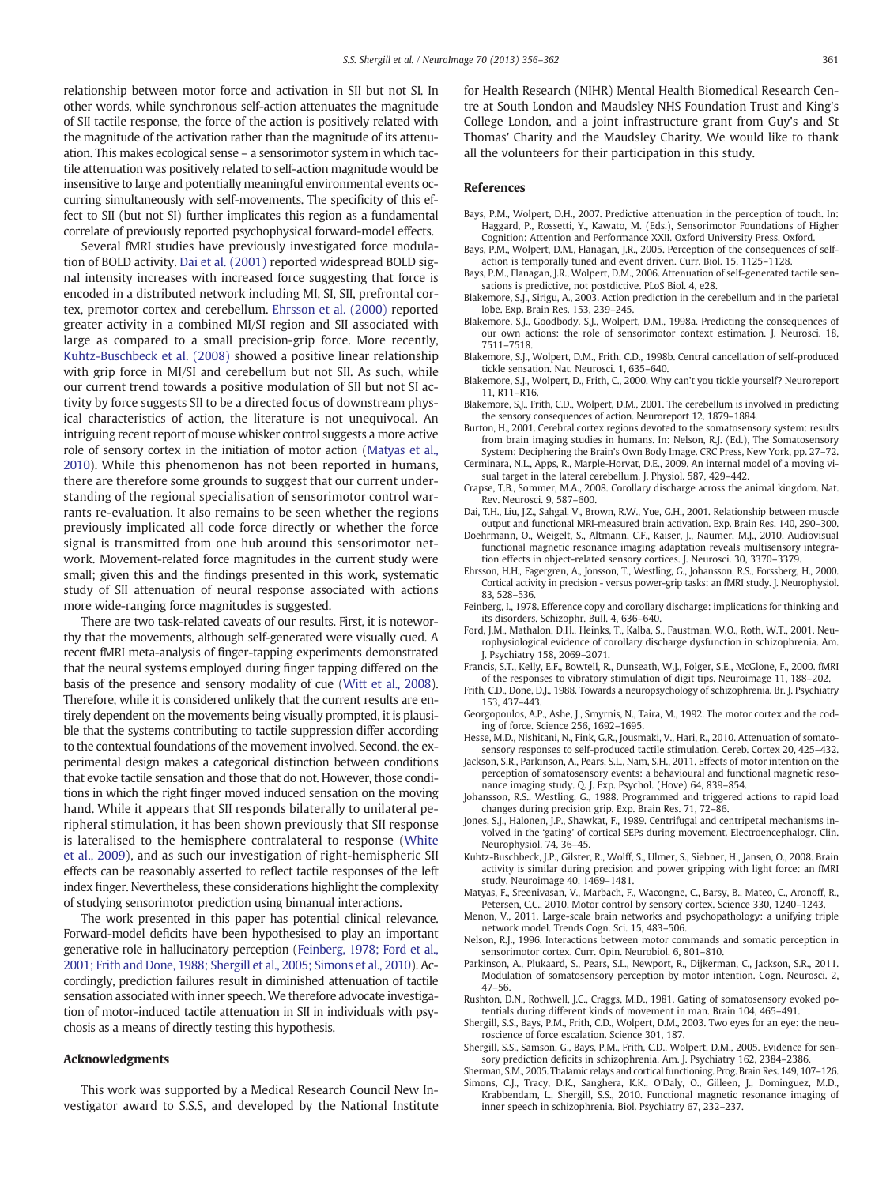<span id="page-5-0"></span>relationship between motor force and activation in SII but not SI. In other words, while synchronous self-action attenuates the magnitude of SII tactile response, the force of the action is positively related with the magnitude of the activation rather than the magnitude of its attenuation. This makes ecological sense – a sensorimotor system in which tactile attenuation was positively related to self-action magnitude would be insensitive to large and potentially meaningful environmental events occurring simultaneously with self-movements. The specificity of this effect to SII (but not SI) further implicates this region as a fundamental correlate of previously reported psychophysical forward-model effects.

Several fMRI studies have previously investigated force modulation of BOLD activity. Dai et al. (2001) reported widespread BOLD signal intensity increases with increased force suggesting that force is encoded in a distributed network including MI, SI, SII, prefrontal cortex, premotor cortex and cerebellum. Ehrsson et al. (2000) reported greater activity in a combined MI/SI region and SII associated with large as compared to a small precision-grip force. More recently, Kuhtz-Buschbeck et al. (2008) showed a positive linear relationship with grip force in MI/SI and cerebellum but not SII. As such, while our current trend towards a positive modulation of SII but not SI activity by force suggests SII to be a directed focus of downstream physical characteristics of action, the literature is not unequivocal. An intriguing recent report of mouse whisker control suggests a more active role of sensory cortex in the initiation of motor action (Matyas et al., 2010). While this phenomenon has not been reported in humans, there are therefore some grounds to suggest that our current understanding of the regional specialisation of sensorimotor control warrants re-evaluation. It also remains to be seen whether the regions previously implicated all code force directly or whether the force signal is transmitted from one hub around this sensorimotor network. Movement-related force magnitudes in the current study were small; given this and the findings presented in this work, systematic study of SII attenuation of neural response associated with actions more wide-ranging force magnitudes is suggested.

There are two task-related caveats of our results. First, it is noteworthy that the movements, although self-generated were visually cued. A recent fMRI meta-analysis of finger-tapping experiments demonstrated that the neural systems employed during finger tapping differed on the basis of the presence and sensory modality of cue ([Witt et al., 2008](#page-6-0)). Therefore, while it is considered unlikely that the current results are entirely dependent on the movements being visually prompted, it is plausible that the systems contributing to tactile suppression differ according to the contextual foundations of the movement involved. Second, the experimental design makes a categorical distinction between conditions that evoke tactile sensation and those that do not. However, those conditions in which the right finger moved induced sensation on the moving hand. While it appears that SII responds bilaterally to unilateral peripheral stimulation, it has been shown previously that SII response is lateralised to the hemisphere contralateral to response ([White](#page-6-0) [et al., 2009\)](#page-6-0), and as such our investigation of right-hemispheric SII effects can be reasonably asserted to reflect tactile responses of the left index finger. Nevertheless, these considerations highlight the complexity of studying sensorimotor prediction using bimanual interactions.

The work presented in this paper has potential clinical relevance. Forward-model deficits have been hypothesised to play an important generative role in hallucinatory perception (Feinberg, 1978; Ford et al., 2001; Frith and Done, 1988; Shergill et al., 2005; Simons et al., 2010). Accordingly, prediction failures result in diminished attenuation of tactile sensation associated with inner speech.We therefore advocate investigation of motor-induced tactile attenuation in SII in individuals with psychosis as a means of directly testing this hypothesis.

# Acknowledgments

This work was supported by a Medical Research Council New Investigator award to S.S.S, and developed by the National Institute for Health Research (NIHR) Mental Health Biomedical Research Centre at South London and Maudsley NHS Foundation Trust and King's College London, and a joint infrastructure grant from Guy's and St Thomas' Charity and the Maudsley Charity. We would like to thank all the volunteers for their participation in this study.

#### References

- Bays, P.M., Wolpert, D.H., 2007. Predictive attenuation in the perception of touch. In: Haggard, P., Rossetti, Y., Kawato, M. (Eds.), Sensorimotor Foundations of Higher Cognition: Attention and Performance XXII. Oxford University Press, Oxford.
- Bays, P.M., Wolpert, D.M., Flanagan, J.R., 2005. Perception of the consequences of selfaction is temporally tuned and event driven. Curr. Biol. 15, 1125–1128.
- Bays, P.M., Flanagan, J.R., Wolpert, D.M., 2006. Attenuation of self-generated tactile sensations is predictive, not postdictive. PLoS Biol. 4, e28.
- Blakemore, S.J., Sirigu, A., 2003. Action prediction in the cerebellum and in the parietal lobe. Exp. Brain Res. 153, 239–245.
- Blakemore, S.J., Goodbody, S.J., Wolpert, D.M., 1998a. Predicting the consequences of our own actions: the role of sensorimotor context estimation. J. Neurosci. 18, 7511–7518.
- Blakemore, S.J., Wolpert, D.M., Frith, C.D., 1998b. Central cancellation of self-produced tickle sensation. Nat. Neurosci. 1, 635–640.
- Blakemore, S.J., Wolpert, D., Frith, C., 2000. Why can't you tickle yourself? Neuroreport 11, R11–R16.
- Blakemore, S.J., Frith, C.D., Wolpert, D.M., 2001. The cerebellum is involved in predicting the sensory consequences of action. Neuroreport 12, 1879–1884.
- Burton, H., 2001. Cerebral cortex regions devoted to the somatosensory system: results from brain imaging studies in humans. In: Nelson, R.J. (Ed.), The Somatosensory System: Deciphering the Brain's Own Body Image. CRC Press, New York, pp. 27–72.
- Cerminara, N.L., Apps, R., Marple-Horvat, D.E., 2009. An internal model of a moving visual target in the lateral cerebellum. J. Physiol. 587, 429–442.
- Crapse, T.B., Sommer, M.A., 2008. Corollary discharge across the animal kingdom. Nat. Rev. Neurosci. 9, 587–600.
- Dai, T.H., Liu, J.Z., Sahgal, V., Brown, R.W., Yue, G.H., 2001. Relationship between muscle output and functional MRI-measured brain activation. Exp. Brain Res. 140, 290–300.
- Doehrmann, O., Weigelt, S., Altmann, C.F., Kaiser, J., Naumer, M.J., 2010. Audiovisual functional magnetic resonance imaging adaptation reveals multisensory integration effects in object-related sensory cortices. J. Neurosci. 30, 3370–3379.
- Ehrsson, H.H., Fagergren, A., Jonsson, T., Westling, G., Johansson, R.S., Forssberg, H., 2000. Cortical activity in precision - versus power-grip tasks: an fMRI study. J. Neurophysiol. 83, 528–536.
- Feinberg, I., 1978. Efference copy and corollary discharge: implications for thinking and its disorders. Schizophr. Bull. 4, 636–640.
- Ford, J.M., Mathalon, D.H., Heinks, T., Kalba, S., Faustman, W.O., Roth, W.T., 2001. Neurophysiological evidence of corollary discharge dysfunction in schizophrenia. Am. J. Psychiatry 158, 2069–2071.
- Francis, S.T., Kelly, E.F., Bowtell, R., Dunseath, W.J., Folger, S.E., McGlone, F., 2000. fMRI of the responses to vibratory stimulation of digit tips. Neuroimage 11, 188–202.
- Frith, C.D., Done, D.J., 1988. Towards a neuropsychology of schizophrenia. Br. J. Psychiatry 153, 437–443.
- Georgopoulos, A.P., Ashe, J., Smyrnis, N., Taira, M., 1992. The motor cortex and the coding of force. Science 256, 1692–1695.
- Hesse, M.D., Nishitani, N., Fink, G.R., Jousmaki, V., Hari, R., 2010. Attenuation of somatosensory responses to self-produced tactile stimulation. Cereb. Cortex 20, 425–432.
- Jackson, S.R., Parkinson, A., Pears, S.L., Nam, S.H., 2011. Effects of motor intention on the perception of somatosensory events: a behavioural and functional magnetic resonance imaging study. Q. J. Exp. Psychol. (Hove) 64, 839–854.
- Johansson, R.S., Westling, G., 1988. Programmed and triggered actions to rapid load changes during precision grip. Exp. Brain Res. 71, 72–86.
- Jones, S.J., Halonen, J.P., Shawkat, F., 1989. Centrifugal and centripetal mechanisms involved in the 'gating' of cortical SEPs during movement. Electroencephalogr. Clin. Neurophysiol. 74, 36–45.
- Kuhtz-Buschbeck, J.P., Gilster, R., Wolff, S., Ulmer, S., Siebner, H., Jansen, O., 2008. Brain activity is similar during precision and power gripping with light force: an fMRI study. Neuroimage 40, 1469–1481.
- Matyas, F., Sreenivasan, V., Marbach, F., Wacongne, C., Barsy, B., Mateo, C., Aronoff, R., Petersen, C.C., 2010. Motor control by sensory cortex. Science 330, 1240–1243.
- Menon, V., 2011. Large-scale brain networks and psychopathology: a unifying triple network model. Trends Cogn. Sci. 15, 483–506.
- Nelson, R.J., 1996. Interactions between motor commands and somatic perception in sensorimotor cortex. Curr. Opin. Neurobiol. 6, 801–810.
- Parkinson, A., Plukaard, S., Pears, S.L., Newport, R., Dijkerman, C., Jackson, S.R., 2011. Modulation of somatosensory perception by motor intention. Cogn. Neurosci. 2, 47–56.
- Rushton, D.N., Rothwell, J.C., Craggs, M.D., 1981. Gating of somatosensory evoked potentials during different kinds of movement in man. Brain 104, 465–491.
- Shergill, S.S., Bays, P.M., Frith, C.D., Wolpert, D.M., 2003. Two eyes for an eye: the neuroscience of force escalation. Science 301, 187.
- Shergill, S.S., Samson, G., Bays, P.M., Frith, C.D., Wolpert, D.M., 2005. Evidence for sensory prediction deficits in schizophrenia. Am. J. Psychiatry 162, 2384–2386.
- Sherman, S.M., 2005. Thalamic relays and cortical functioning. Prog. Brain Res. 149, 107–126. Simons, C.J., Tracy, D.K., Sanghera, K.K., O'Daly, O., Gilleen, J., Dominguez, M.D.,
- Krabbendam, L., Shergill, S.S., 2010. Functional magnetic resonance imaging of inner speech in schizophrenia. Biol. Psychiatry 67, 232–237.